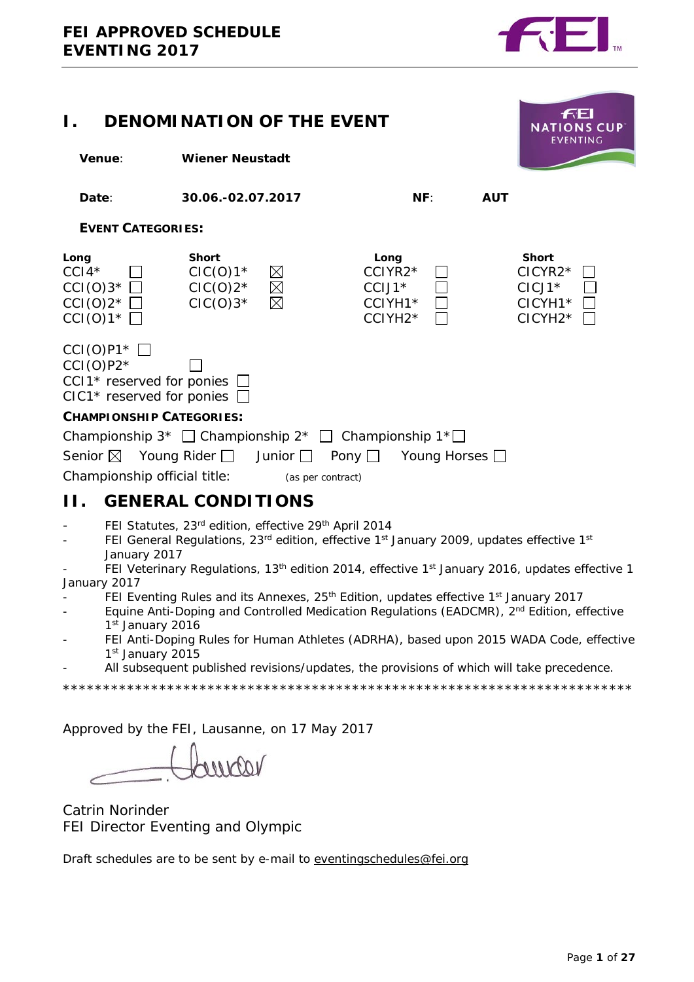

<span id="page-0-0"></span>

| <b>DENOMINATION OF THE EVENT</b>                                                                                                  | <b>NATIONS CUP</b><br><b>EVENTING</b>                   |                                           |                                                   |            |                                                                          |  |  |
|-----------------------------------------------------------------------------------------------------------------------------------|---------------------------------------------------------|-------------------------------------------|---------------------------------------------------|------------|--------------------------------------------------------------------------|--|--|
| Venue:                                                                                                                            |                                                         | <b>Wiener Neustadt</b>                    |                                                   |            |                                                                          |  |  |
| Date:                                                                                                                             | 30.06.-02.07.2017                                       |                                           | NF:                                               | <b>AUT</b> |                                                                          |  |  |
| <b>EVENT CATEGORIES:</b>                                                                                                          |                                                         |                                           |                                                   |            |                                                                          |  |  |
| Long<br>$CCI4*$<br>$CCI(O)3*$<br>$CCI(0)2^{\star}$<br>$CCI(0)1^{\star}$                                                           | <b>Short</b><br>$ClC(O)1*$<br>$ClC(O)2^*$<br>$ClC(O)3*$ | $\boxtimes$<br>$\boxtimes$<br>$\boxtimes$ | Long<br>$CCIYR2*$<br>CCIJ1*<br>CCIYH1*<br>CCIYH2* |            | <b>Short</b><br>$CICYR2*$<br>$ClCI1*$<br>CICYH1*<br>CICYH <sub>2</sub> * |  |  |
| $CCI(O)P1*$<br>$CCI(O)P2*$<br>CCI1 <sup>*</sup> reserved for ponies<br>CIC1* reserved for ponies                                  |                                                         |                                           |                                                   |            |                                                                          |  |  |
| <b>CHAMPIONSHIP CATEGORIES:</b>                                                                                                   |                                                         |                                           |                                                   |            |                                                                          |  |  |
| Championship $3^*$ $\Box$ Championship $2^*$ $\Box$ Championship $1^* \Box$<br>Senior $\boxtimes$<br>Championship official title: | Young Rider ∐                                           | Junior $\Box$<br>(as per contract)        | Pony $\Box$<br>Young Horses $\Box$                |            |                                                                          |  |  |
| Н.                                                                                                                                | <b>GENERAL CONDITIONS</b>                               |                                           |                                                   |            |                                                                          |  |  |

- <span id="page-0-1"></span>FEI Statutes, 23rd edition, effective 29th April 2014
- FEI General Regulations,  $23^{rd}$  edition, effective  $1^{st}$  January 2009, updates effective  $1^{st}$ January 2017
- FEI Veterinary Regulations, 13<sup>th</sup> edition 2014, effective 1<sup>st</sup> January 2016, updates effective 1 January 2017
- FEI Eventing Rules and its Annexes, 25<sup>th</sup> Edition, updates effective 1<sup>st</sup> January 2017
- Equine Anti-Doping and Controlled Medication Regulations (EADCMR), 2<sup>nd</sup> Edition, effective 1st January 2016
- FEI Anti-Doping Rules for Human Athletes (ADRHA), based upon 2015 WADA Code, effective 1st January 2015
- All subsequent published revisions/updates, the provisions of which will take precedence.

\*\*\*\*\*\*\*\*\*\*\*\*\*\*\*\*\*\*\*\*\*\*\*\*\*\*\*\*\*\*\*\*\*\*\*\*\*\*\*\*\*\*\*\*\*\*\*\*\*\*\*\*\*\*\*\*\*\*\*\*\*\*\*\*\*\*\*\*\*\*\*

Approved by the FEI, Lausanne, on 17 May 2017

 $100$ 

Catrin Norinder FEI Director Eventing and Olympic

Draft schedules are to be sent by e-mail to [eventingschedules@fei.org](mailto:eventingschedules@fei.org)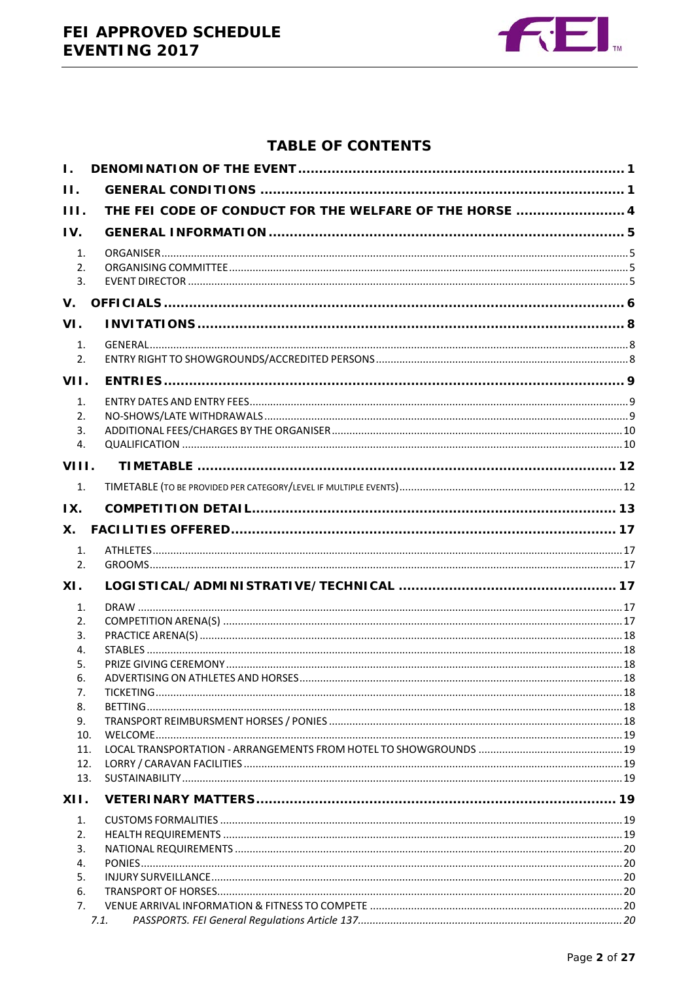

# **TABLE OF CONTENTS**

| $\mathbf{L}$ |                                                         |  |
|--------------|---------------------------------------------------------|--|
| II.          |                                                         |  |
| HL.          | THE FEI CODE OF CONDUCT FOR THE WELFARE OF THE HORSE  4 |  |
| IV.          |                                                         |  |
| 1.           |                                                         |  |
| 2.           |                                                         |  |
| 3.           |                                                         |  |
| V.           |                                                         |  |
| VI.          |                                                         |  |
| 1.           |                                                         |  |
| 2.           |                                                         |  |
| VII.         |                                                         |  |
| 1.           |                                                         |  |
| 2.           |                                                         |  |
| 3.           |                                                         |  |
| 4.           |                                                         |  |
| VIII.        |                                                         |  |
| 1.           |                                                         |  |
| IX.          |                                                         |  |
| <b>X.</b>    |                                                         |  |
| 1.           |                                                         |  |
| 2.           |                                                         |  |
| XI.          |                                                         |  |
| 1.           |                                                         |  |
| 2.           |                                                         |  |
| 3.           |                                                         |  |
| 4.           |                                                         |  |
| 5.           |                                                         |  |
| 6.<br>7.     |                                                         |  |
| 8.           |                                                         |  |
| 9.           |                                                         |  |
| 10.          |                                                         |  |
| 11.          |                                                         |  |
| 12.          |                                                         |  |
| 13.          |                                                         |  |
| XII.         |                                                         |  |
| 1.           |                                                         |  |
| 2.           |                                                         |  |
| 3.           |                                                         |  |
| 4.<br>5.     |                                                         |  |
| 6.           |                                                         |  |
| 7.           |                                                         |  |
|              | 7.1.                                                    |  |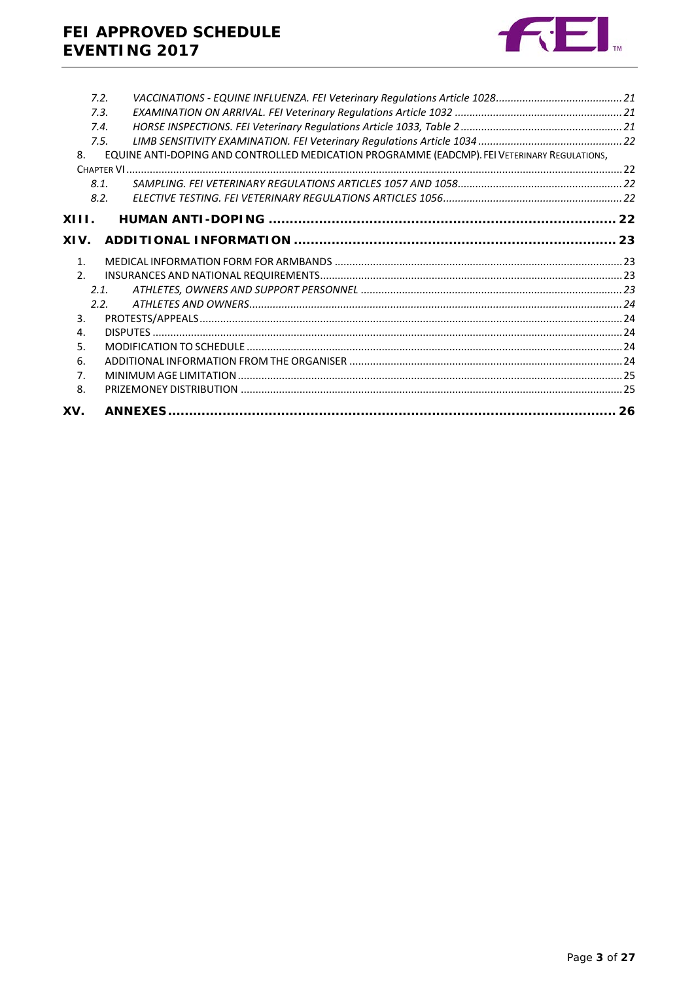

|                | 7.2.                                                                                         |  |
|----------------|----------------------------------------------------------------------------------------------|--|
|                | 7.3.                                                                                         |  |
|                | 7.4.                                                                                         |  |
|                | 7.5.                                                                                         |  |
| 8.             | EQUINE ANTI-DOPING AND CONTROLLED MEDICATION PROGRAMME (EADCMP). FEI VETERINARY REGULATIONS, |  |
|                |                                                                                              |  |
|                | 8.1.                                                                                         |  |
|                | 8.2.                                                                                         |  |
| XIII.          |                                                                                              |  |
|                |                                                                                              |  |
| XIV.           |                                                                                              |  |
| 1 <sub>1</sub> |                                                                                              |  |
| 2.             |                                                                                              |  |
|                | 2.1.                                                                                         |  |
|                | 2.2.                                                                                         |  |
| 3.             |                                                                                              |  |
| 4.             |                                                                                              |  |
| 5.             |                                                                                              |  |
| 6.             |                                                                                              |  |
| 7 <sub>1</sub> |                                                                                              |  |
| 8.             |                                                                                              |  |
| XV.            |                                                                                              |  |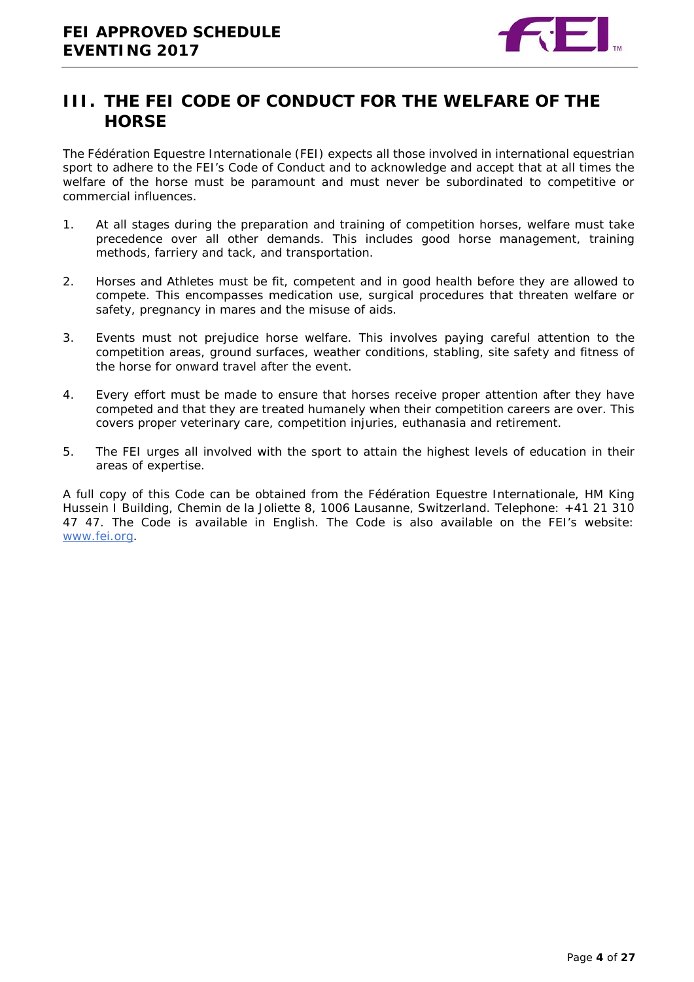

# <span id="page-3-0"></span>**III. THE FEI CODE OF CONDUCT FOR THE WELFARE OF THE HORSE**

The Fédération Equestre Internationale (FEI) expects all those involved in international equestrian sport to adhere to the FEI's Code of Conduct and to acknowledge and accept that at all times the welfare of the horse must be paramount and must never be subordinated to competitive or commercial influences.

- 1. At all stages during the preparation and training of competition horses, welfare must take precedence over all other demands. This includes good horse management, training methods, farriery and tack, and transportation.
- 2. Horses and Athletes must be fit, competent and in good health before they are allowed to compete. This encompasses medication use, surgical procedures that threaten welfare or safety, pregnancy in mares and the misuse of aids.
- 3. Events must not prejudice horse welfare. This involves paying careful attention to the competition areas, ground surfaces, weather conditions, stabling, site safety and fitness of the horse for onward travel after the event.
- 4. Every effort must be made to ensure that horses receive proper attention after they have competed and that they are treated humanely when their competition careers are over. This covers proper veterinary care, competition injuries, euthanasia and retirement.
- 5. The FEI urges all involved with the sport to attain the highest levels of education in their areas of expertise.

A full copy of this Code can be obtained from the Fédération Equestre Internationale, HM King Hussein I Building, Chemin de la Joliette 8, 1006 Lausanne, Switzerland. Telephone: +41 21 310 47 47. The Code is available in English. The Code is also available on the FEI's website: [www.fei.org.](http://www.fei.org/)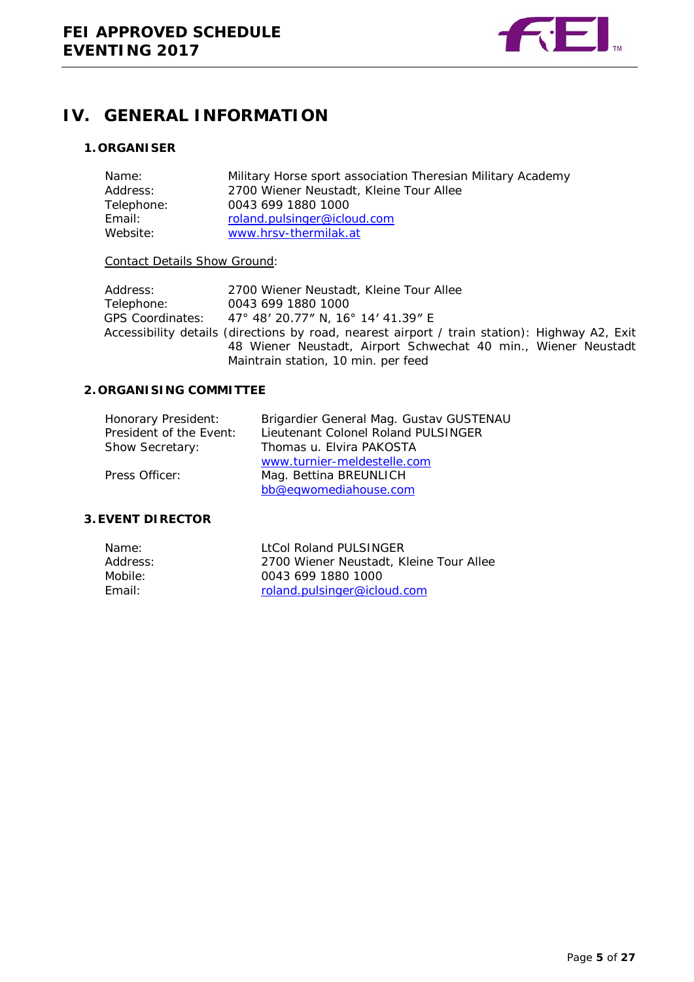

# <span id="page-4-0"></span>**IV. GENERAL INFORMATION**

### <span id="page-4-1"></span>**1. ORGANISER**

| Military Horse sport association Theresian Military Academy |
|-------------------------------------------------------------|
| 2700 Wiener Neustadt, Kleine Tour Allee                     |
| 0043 699 1880 1000                                          |
| roland.pulsinger@icloud.com                                 |
| www.hrsv-thermilak.at                                       |
|                                                             |

#### Contact Details Show Ground:

| Address:   | 2700 Wiener Neustadt, Kleine Tour Allee                                                                                                                                                                |
|------------|--------------------------------------------------------------------------------------------------------------------------------------------------------------------------------------------------------|
| Telephone: | 0043 699 1880 1000                                                                                                                                                                                     |
|            | GPS Coordinates: 47° 48' 20.77" N, 16° 14' 41.39" E                                                                                                                                                    |
|            | Accessibility details (directions by road, nearest airport / train station): Highway A2, Exit<br>48 Wiener Neustadt, Airport Schwechat 40 min., Wiener Neustadt<br>Maintrain station, 10 min. per feed |

### <span id="page-4-2"></span>**2. ORGANISING COMMITTEE**

| Honorary President:     | Brigardier General Mag. Gustav GUSTENAU |
|-------------------------|-----------------------------------------|
| President of the Event: | Lieutenant Colonel Roland PULSINGER     |
| Show Secretary:         | Thomas u. Elvira PAKOSTA                |
|                         | www.turnier-meldestelle.com             |
| Press Officer:          | Mag. Bettina BREUNLICH                  |
|                         | bb@eqwomediahouse.com                   |

### <span id="page-4-3"></span>**3.EVENT DIRECTOR**

| LtCol Roland PULSINGER                  |
|-----------------------------------------|
| 2700 Wiener Neustadt, Kleine Tour Allee |
| 0043 699 1880 1000                      |
| roland.pulsinger@icloud.com             |
|                                         |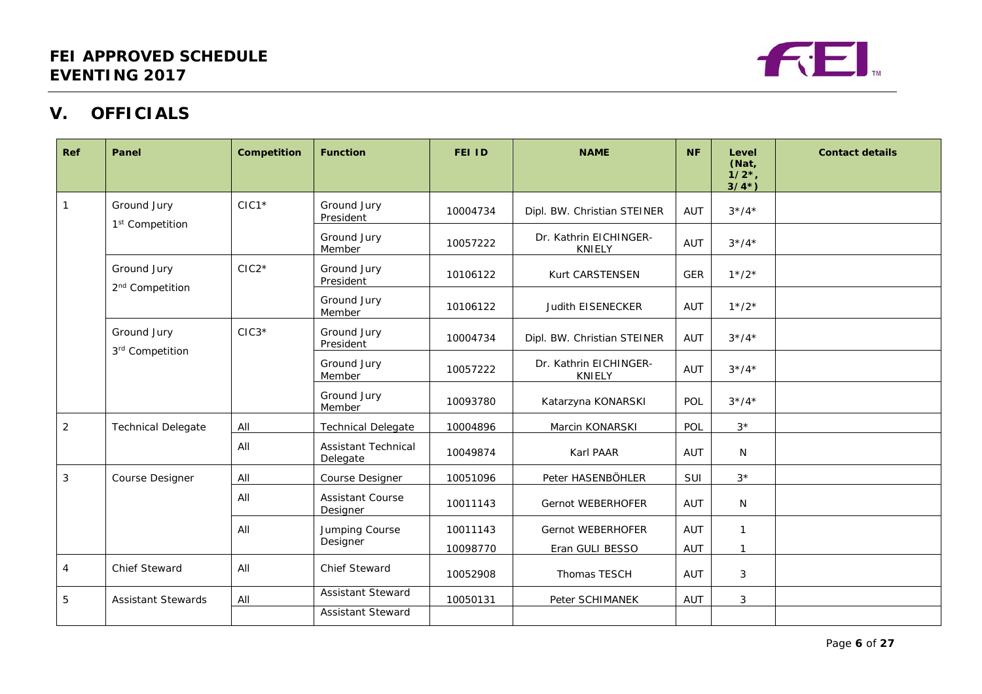

# **V. OFFICIALS**

<span id="page-5-0"></span>

| Ref            | Panel                                      | Competition | <b>Function</b>                        | <b>FEI ID</b>        | <b>NAME</b>                             | <b>NF</b>         | Level<br>(Nat,<br>1/2,<br>$3/4^{*}$ ) | <b>Contact details</b> |
|----------------|--------------------------------------------|-------------|----------------------------------------|----------------------|-----------------------------------------|-------------------|---------------------------------------|------------------------|
| $\overline{1}$ | Ground Jury<br>1 <sup>st</sup> Competition | $CIC1*$     | Ground Jury<br>President               | 10004734             | Dipl. BW. Christian STEINER             | AUT               | $3*/4*$                               |                        |
|                |                                            |             | Ground Jury<br>Member                  | 10057222             | Dr. Kathrin EICHINGER-<br><b>KNIELY</b> | AUT               | $3*/4*$                               |                        |
|                | Ground Jury<br>2 <sup>nd</sup> Competition | $CIC2*$     | Ground Jury<br>President               | 10106122             | Kurt CARSTENSEN                         | <b>GER</b>        | $1*/2*$                               |                        |
|                |                                            |             | Ground Jury<br>Member                  | 10106122             | Judith EISENECKER                       | AUT               | $1*/2*$                               |                        |
|                | Ground Jury<br>3rd Competition             | $CIC3*$     | Ground Jury<br>President               | 10004734             | Dipl. BW. Christian STEINER             | AUT               | $3*/4*$                               |                        |
|                |                                            |             | Ground Jury<br>Member                  | 10057222             | Dr. Kathrin EICHINGER-<br><b>KNIELY</b> | AUT               | $3*/4*$                               |                        |
|                |                                            |             | Ground Jury<br>Member                  | 10093780             | Katarzyna KONARSKI                      | POL               | $3*/4*$                               |                        |
| $\overline{2}$ | <b>Technical Delegate</b>                  | All         | <b>Technical Delegate</b>              | 10004896             | Marcin KONARSKI                         | POL               | $3*$                                  |                        |
|                |                                            | All         | <b>Assistant Technical</b><br>Delegate | 10049874             | Karl PAAR                               | AUT               | N                                     |                        |
| 3              | Course Designer                            | All         | Course Designer                        | 10051096             | Peter HASENBÖHLER                       | SUI               | $3*$                                  |                        |
|                |                                            | All         | <b>Assistant Course</b><br>Designer    | 10011143             | Gernot WEBERHOFER                       | AUT               | $\mathsf{N}$                          |                        |
|                |                                            | All         | Jumping Course<br>Designer             | 10011143<br>10098770 | Gernot WEBERHOFER<br>Eran GULI BESSO    | AUT<br><b>AUT</b> | $\mathbf{1}$<br>$\mathbf{1}$          |                        |
| $\overline{4}$ | Chief Steward                              | All         | <b>Chief Steward</b>                   | 10052908             | Thomas TESCH                            | AUT               | 3                                     |                        |
| 5              | <b>Assistant Stewards</b>                  | All         | <b>Assistant Steward</b>               | 10050131             | Peter SCHIMANEK                         | AUT               | 3                                     |                        |
|                |                                            |             | <b>Assistant Steward</b>               |                      |                                         |                   |                                       |                        |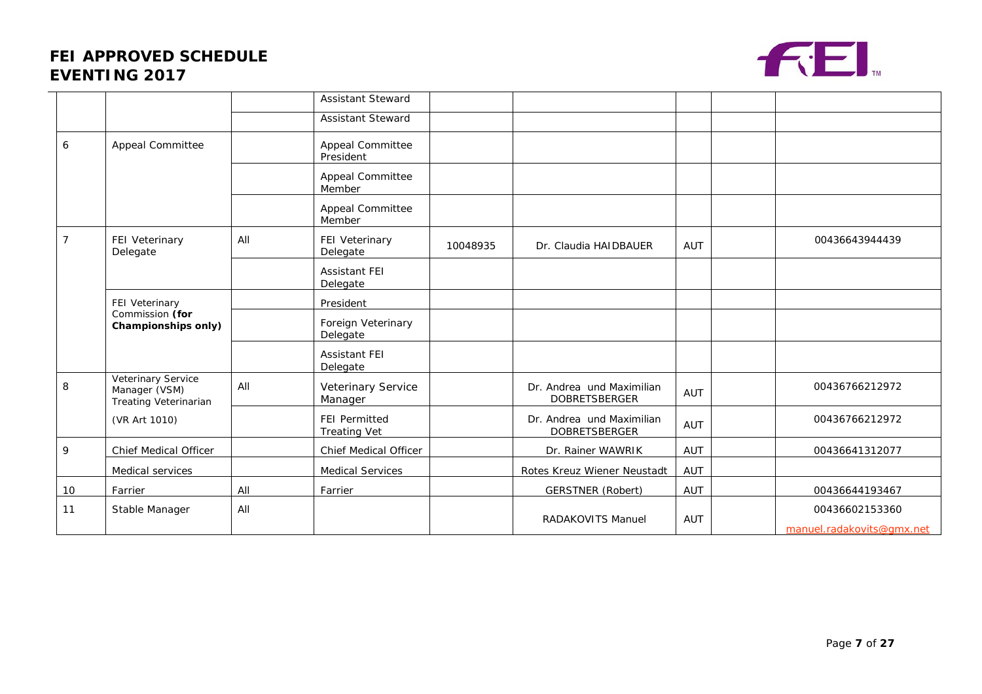# **FEI APPROVED SCHEDULE EVENTING 2017**



|                 |                                                              |     | <b>Assistant Steward</b>                    |          |                                                   |            |                                             |
|-----------------|--------------------------------------------------------------|-----|---------------------------------------------|----------|---------------------------------------------------|------------|---------------------------------------------|
|                 |                                                              |     | <b>Assistant Steward</b>                    |          |                                                   |            |                                             |
| 6               | Appeal Committee                                             |     | Appeal Committee<br>President               |          |                                                   |            |                                             |
|                 |                                                              |     | Appeal Committee<br>Member                  |          |                                                   |            |                                             |
|                 |                                                              |     | Appeal Committee<br>Member                  |          |                                                   |            |                                             |
| $\overline{7}$  | FEI Veterinary<br>Delegate                                   | All | FEI Veterinary<br>Delegate                  | 10048935 | Dr. Claudia HAIDBAUER                             | AUT        | 00436643944439                              |
|                 |                                                              |     | <b>Assistant FEI</b><br>Delegate            |          |                                                   |            |                                             |
|                 | FEI Veterinary                                               |     | President                                   |          |                                                   |            |                                             |
| Commission (for | Championships only)                                          |     | Foreign Veterinary<br>Delegate              |          |                                                   |            |                                             |
|                 |                                                              |     | <b>Assistant FEI</b><br>Delegate            |          |                                                   |            |                                             |
| 8               | Veterinary Service<br>Manager (VSM)<br>Treating Veterinarian | All | Veterinary Service<br>Manager               |          | Dr. Andrea und Maximilian<br><b>DOBRETSBERGER</b> | <b>AUT</b> | 00436766212972                              |
|                 | (VR Art 1010)                                                |     | <b>FEI Permitted</b><br><b>Treating Vet</b> |          | Dr. Andrea und Maximilian<br><b>DOBRETSBERGER</b> | <b>AUT</b> | 00436766212972                              |
| 9               | Chief Medical Officer                                        |     | Chief Medical Officer                       |          | Dr. Rainer WAWRIK                                 | AUT        | 00436641312077                              |
|                 | Medical services                                             |     | Medical Services                            |          | Rotes Kreuz Wiener Neustadt                       | AUT        |                                             |
| 10              | Farrier                                                      | All | Farrier                                     |          | <b>GERSTNER (Robert)</b>                          | AUT        | 00436644193467                              |
| 11              | Stable Manager                                               | All |                                             |          | <b>RADAKOVITS Manuel</b>                          | AUT        | 00436602153360<br>manuel.radakovits@gmx.net |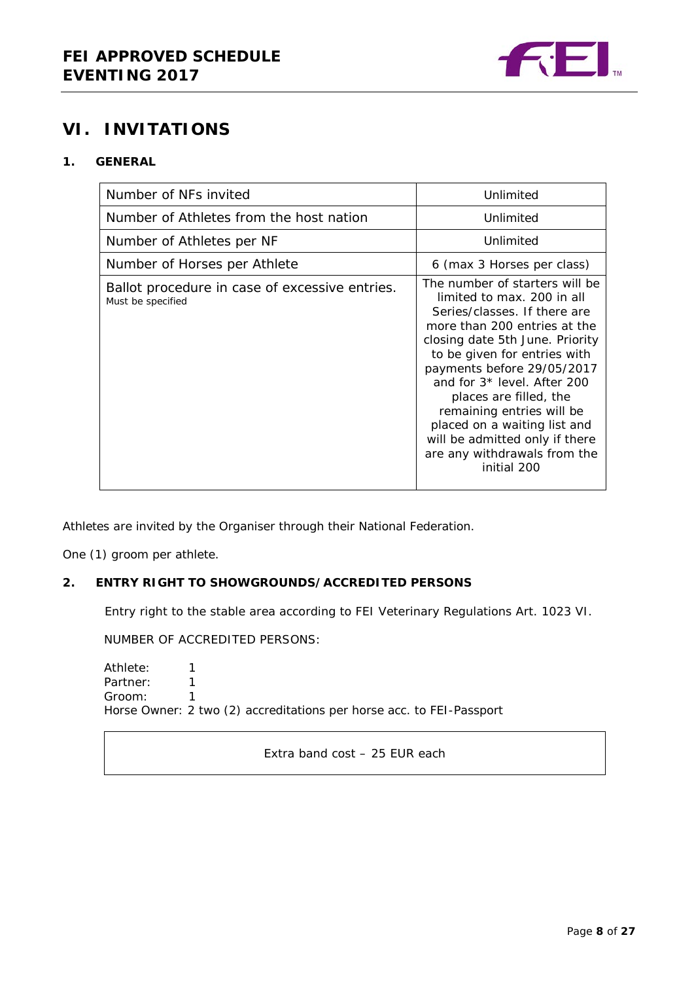

# <span id="page-7-0"></span>**VI. INVITATIONS**

### <span id="page-7-1"></span>**1. GENERAL**

| Number of NFs invited                                               | Unlimited                                                                                                                                                                                                                                                                                                                                                                                                                            |
|---------------------------------------------------------------------|--------------------------------------------------------------------------------------------------------------------------------------------------------------------------------------------------------------------------------------------------------------------------------------------------------------------------------------------------------------------------------------------------------------------------------------|
| Number of Athletes from the host nation                             | Unlimited                                                                                                                                                                                                                                                                                                                                                                                                                            |
| Number of Athletes per NF                                           | Unlimited                                                                                                                                                                                                                                                                                                                                                                                                                            |
| Number of Horses per Athlete                                        | 6 (max 3 Horses per class)                                                                                                                                                                                                                                                                                                                                                                                                           |
| Ballot procedure in case of excessive entries.<br>Must be specified | The number of starters will be<br>limited to max, 200 in all<br>Series/classes. If there are<br>more than 200 entries at the<br>closing date 5th June. Priority<br>to be given for entries with<br>payments before 29/05/2017<br>and for 3* level. After 200<br>places are filled, the<br>remaining entries will be<br>placed on a waiting list and<br>will be admitted only if there<br>are any withdrawals from the<br>initial 200 |

Athletes are invited by the Organiser through their National Federation.

One (1) groom per athlete.

#### <span id="page-7-2"></span>**2. ENTRY RIGHT TO SHOWGROUNDS/ACCREDITED PERSONS**

Entry right to the stable area according to FEI Veterinary Regulations Art. 1023 VI.

NUMBER OF ACCREDITED PERSONS:

Athlete: 1<br>Partner: 1 Partner: 1<br>Groom: 1 Groom: 1 Horse Owner: 2 two (2) accreditations per horse acc. to FEI-Passport

Extra band cost – 25 EUR each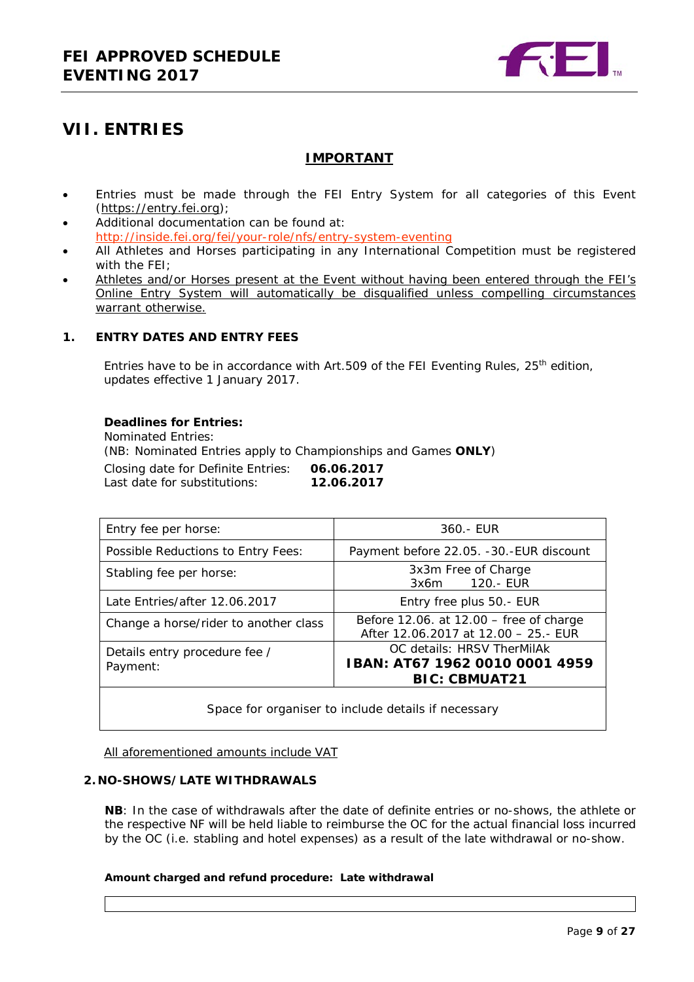

# <span id="page-8-0"></span>**VII. ENTRIES**

### **IMPORTANT**

- Entries must be made through the FEI Entry System for all categories of this Event [\(https://entry.fei.org\)](https://entry.fei.org/);
- Additional documentation can be found at: [http://inside.fei.org/fei/your-role/nfs/entry-system-eventing](http://www.fei.org/fei/your-role/nfs/entry-system-eventing)
- All Athletes and Horses participating in any International Competition must be registered with the FFI:
- Athletes and/or Horses present at the Event without having been entered through the FEI's Online Entry System will automatically be disqualified unless compelling circumstances warrant otherwise.

#### <span id="page-8-1"></span>**1. ENTRY DATES AND ENTRY FEES**

Entries have to be in accordance with Art.509 of the FEI Eventing Rules,  $25<sup>th</sup>$  edition, updates effective 1 January 2017.

#### **Deadlines for Entries:**

Nominated Entries: (NB: Nominated Entries apply to Championships and Games **ONLY**)

Closing date for Definite Entries: **06.06.2017** Last date for substitutions:

| Entry fee per horse:                      | 360.- EUR                                                                            |  |  |  |
|-------------------------------------------|--------------------------------------------------------------------------------------|--|--|--|
| Possible Reductions to Entry Fees:        | Payment before 22.05. -30.-EUR discount                                              |  |  |  |
| Stabling fee per horse:                   | 3x3m Free of Charge<br>120.- EUR<br>3x6m                                             |  |  |  |
| Late Entries/after 12.06.2017             | Entry free plus 50.- EUR                                                             |  |  |  |
| Change a horse/rider to another class     | Before 12.06. at 12.00 - free of charge<br>After 12.06.2017 at 12.00 - 25.- EUR      |  |  |  |
| Details entry procedure fee /<br>Payment: | OC details: HRSV TherMilAk<br>IBAN: AT67 1962 0010 0001 4959<br><b>BIC: CBMUAT21</b> |  |  |  |

Space for organiser to include details if necessary

All aforementioned amounts include VAT

#### <span id="page-8-2"></span>**2. NO-SHOWS/LATE WITHDRAWALS**

**NB**: In the case of withdrawals after the date of definite entries or no-shows, the athlete or the respective NF will be held liable to reimburse the OC for the actual financial loss incurred by the OC (i.e. stabling and hotel expenses) as a result of the late withdrawal or no-show.

#### **Amount charged and refund procedure: Late withdrawal**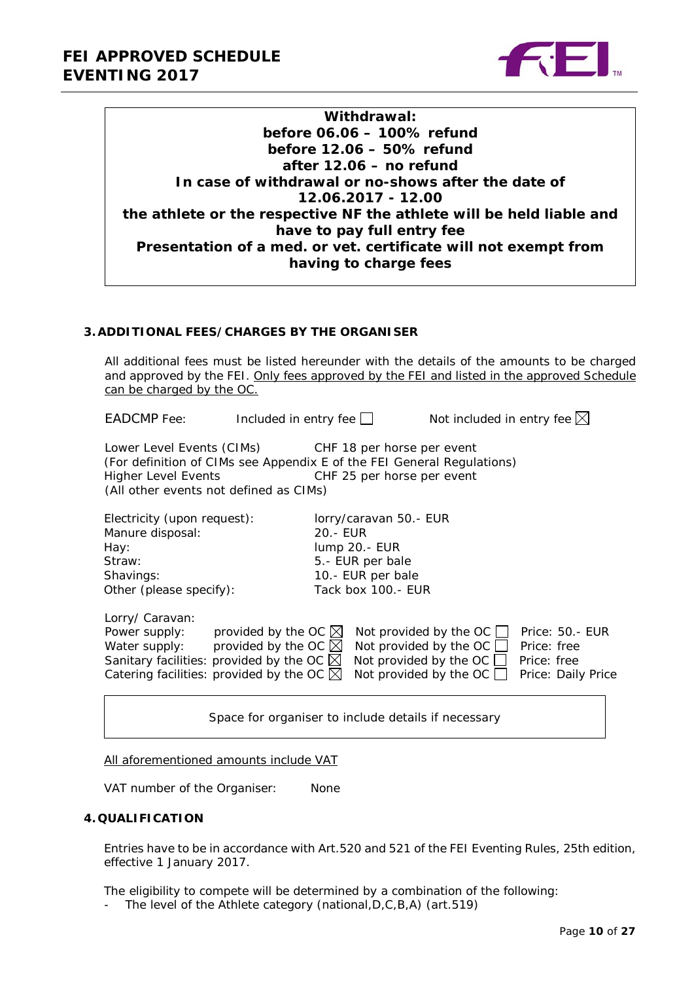

| Withdrawal:                                                          |
|----------------------------------------------------------------------|
| before 06.06 - 100% refund                                           |
| before 12.06 - 50% refund                                            |
| after 12.06 – no refund                                              |
| In case of withdrawal or no-shows after the date of                  |
| 12.06.2017 - 12.00                                                   |
| the athlete or the respective NF the athlete will be held liable and |
| have to pay full entry fee                                           |
| Presentation of a med. or vet. certificate will not exempt from      |
| having to charge fees                                                |
|                                                                      |

#### <span id="page-9-0"></span>**3.ADDITIONAL FEES/CHARGES BY THE ORGANISER**

All additional fees must be listed hereunder with the details of the amounts to be charged and approved by the FEI. Only fees approved by the FEI and listed in the approved Schedule can be charged by the OC.

EADCMP Fee: Included in entry fee  $\Box$  Not included in entry fee  $\boxtimes$ 

Lower Level Events (CIMs) CHF 18 per horse per event (For definition of CIMs see Appendix E of the FEI General Regulations) Higher Level Events CHF 25 per horse per event (All other events not defined as CIMs)

| Electricity (upon request):                         |                                |          | lorry/caravan 50.- EUR           |             |                    |
|-----------------------------------------------------|--------------------------------|----------|----------------------------------|-------------|--------------------|
| Manure disposal:                                    |                                | 20.- EUR |                                  |             |                    |
| Hay:                                                |                                |          | lump 20.- EUR                    |             |                    |
| Straw:                                              |                                |          | 5.- EUR per bale                 |             |                    |
| Shavings:                                           |                                |          | 10.- EUR per bale                |             |                    |
| Other (please specify):                             |                                |          | Tack box 100.- EUR               |             |                    |
| Lorry/ Caravan:                                     |                                |          |                                  |             |                    |
| Power supply:                                       | provided by the OC $\boxtimes$ |          | Not provided by the OC $\Box$    |             | Price: 50.- EUR    |
| Water supply:                                       | provided by the OC $\boxtimes$ |          | Not provided by the OC [         | Price: free |                    |
| Sanitary facilities: provided by the OC $\boxtimes$ |                                |          | Not provided by the OC $\lfloor$ | Price: free |                    |
| Catering facilities: provided by the OC $\boxtimes$ |                                |          | Not provided by the OC           |             | Price: Daily Price |

Space for organiser to include details if necessary

All aforementioned amounts include VAT

VAT number of the Organiser: None

#### <span id="page-9-1"></span>**4. QUALIFICATION**

Entries have to be in accordance with Art.520 and 521 of the FEI Eventing Rules, 25th edition, effective 1 January 2017.

The eligibility to compete will be determined by a combination of the following:

- The level of the Athlete category (national,D,C,B,A) (art.519)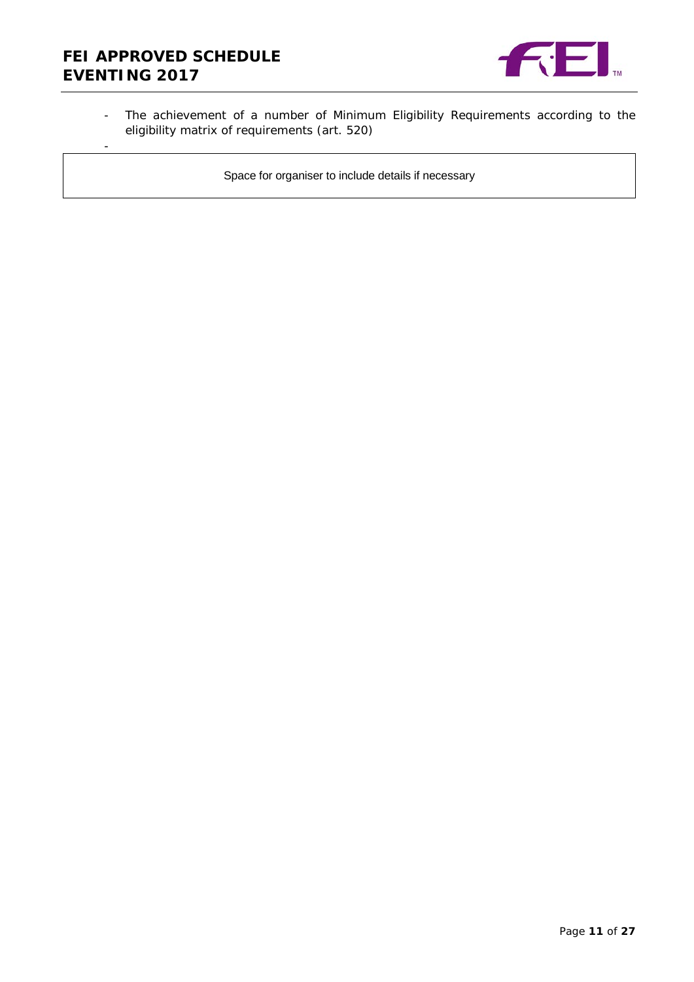# **FEI APPROVED SCHEDULE EVENTING 2017**

-



- The achievement of a number of Minimum Eligibility Requirements according to the eligibility matrix of requirements (art. 520)

Space for organiser to include details if necessary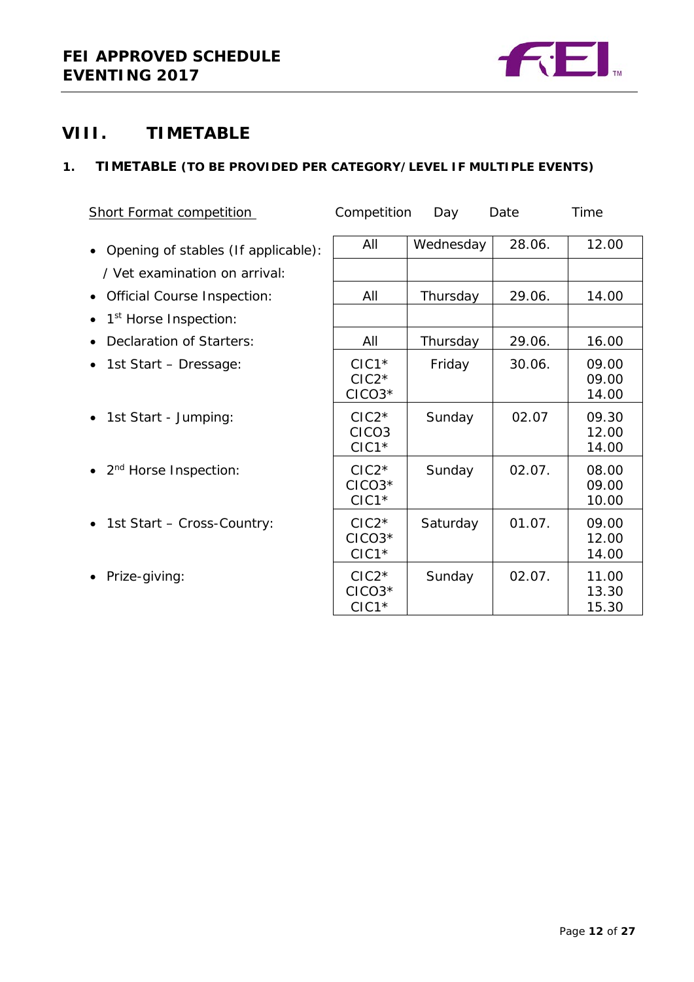

# <span id="page-11-0"></span>**VIII. TIMETABLE**

### <span id="page-11-1"></span>**1. TIMETABLE (TO BE PROVIDED PER CATEGORY/LEVEL IF MULTIPLE EVENTS)**

| <b>Short Format competition</b>                  | Competition                             | Day       | Date   | Time                    |
|--------------------------------------------------|-----------------------------------------|-----------|--------|-------------------------|
| Opening of stables (If applicable):<br>$\bullet$ | All                                     | Wednesday | 28.06. | 12.00                   |
| / Vet examination on arrival:                    |                                         |           |        |                         |
| <b>Official Course Inspection:</b><br>$\bullet$  | All                                     | Thursday  | 29.06. | 14.00                   |
| 1 <sup>st</sup> Horse Inspection:<br>$\bullet$   |                                         |           |        |                         |
| Declaration of Starters:                         | All                                     | Thursday  | 29.06. | 16.00                   |
| 1st Start - Dressage:<br>$\bullet$               | $ClC1*$<br>$ClC2*$<br>$CICO3*$          | Friday    | 30.06. | 09.00<br>09.00<br>14.00 |
| 1st Start - Jumping:<br>$\bullet$                | $ClC2*$<br>CICO <sub>3</sub><br>$CIC1*$ | Sunday    | 02.07  | 09.30<br>12.00<br>14.00 |
| 2 <sup>nd</sup> Horse Inspection:                | $ClC2*$<br>$CICO3*$<br>$CIC1*$          | Sunday    | 02.07. | 08.00<br>09.00<br>10.00 |
| 1st Start - Cross-Country:<br>$\bullet$          | $ClC2*$<br>$CICO3*$<br>$ClC1*$          | Saturday  | 01.07. | 09.00<br>12.00<br>14.00 |
| Prize-giving:                                    | $ClC2*$<br>$CICO3*$<br>$ClC1*$          | Sunday    | 02.07. | 11.00<br>13.30<br>15.30 |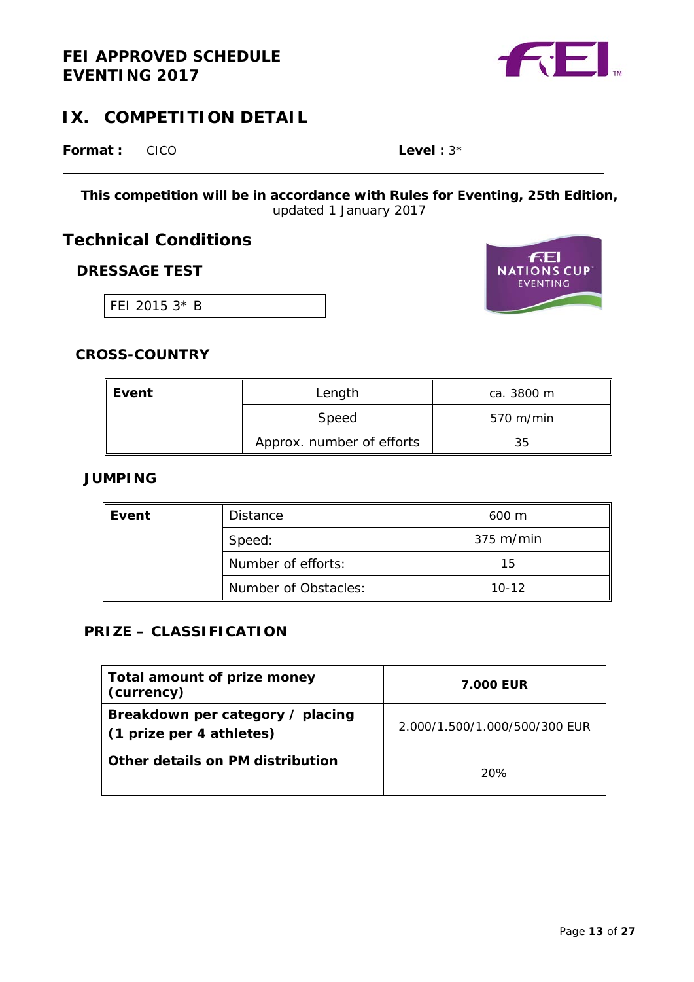

# <span id="page-12-0"></span>**IX. COMPETITION DETAIL**

**Format :** CICO **Level** : 3\*

**This competition will be in accordance with Rules for Eventing, 25th Edition,**  *updated 1 January 2017*

**Technical Conditions**

### **DRESSAGE TEST**

FEI 2015 3\* B



### **CROSS-COUNTRY**

| Event | Length                    | ca. 3800 m          |
|-------|---------------------------|---------------------|
|       | Speed                     | $570 \text{ m/min}$ |
|       | Approx. number of efforts | 35                  |

### **JUMPING**

| Event | <b>Distance</b>      | $600 \text{ m}$ |  |
|-------|----------------------|-----------------|--|
|       | Speed:               | 375 m/min       |  |
|       | Number of efforts:   | 15              |  |
|       | Number of Obstacles: | $10-12$         |  |

### **PRIZE – CLASSIFICATION**

| Total amount of prize money<br>(currency)                    | <b>7.000 EUR</b>              |
|--------------------------------------------------------------|-------------------------------|
| Breakdown per category / placing<br>(1 prize per 4 athletes) | 2.000/1.500/1.000/500/300 FUR |
| Other details on PM distribution                             | 20%                           |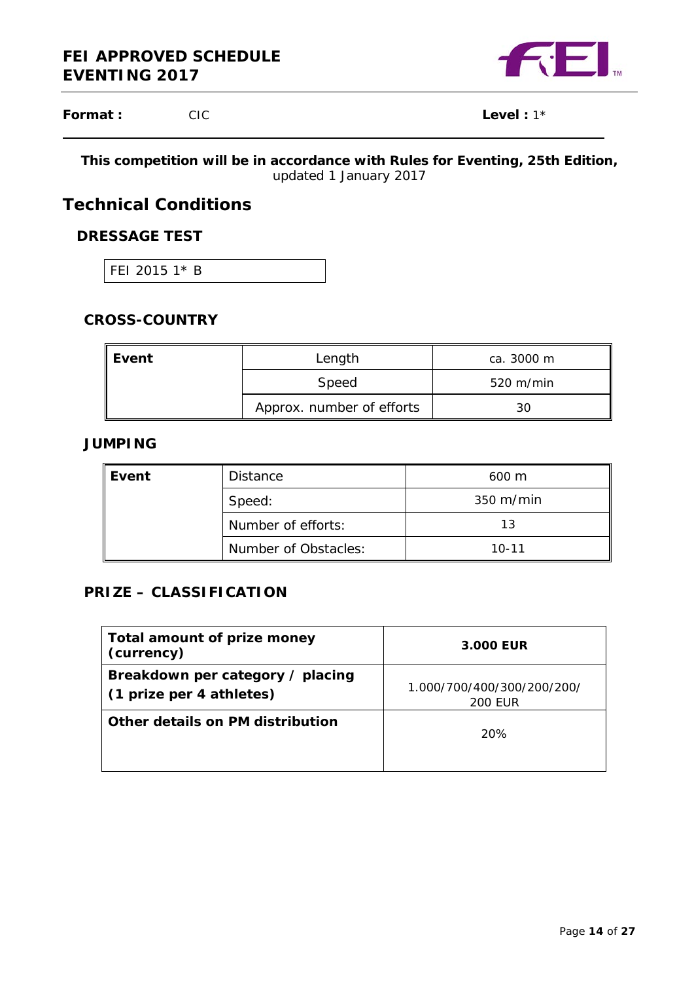

**Format :** CIC **Level** : 1\*

### **This competition will be in accordance with Rules for Eventing, 25th Edition,**  *updated 1 January 2017*

# **Technical Conditions**

# **DRESSAGE TEST**

FEI 2015 1\* B

# **CROSS-COUNTRY**

| Event | Length                    | ca. 3000 m          |
|-------|---------------------------|---------------------|
|       | Speed                     | $520 \text{ m/min}$ |
|       | Approx. number of efforts | 30                  |

### **JUMPING**

| Event | Distance             | $600 \text{ m}$ |  |
|-------|----------------------|-----------------|--|
|       | Speed:               | 350 m/min       |  |
|       | Number of efforts:   | 13              |  |
|       | Number of Obstacles: | $10 - 11$       |  |

### **PRIZE – CLASSIFICATION**

| Total amount of prize money<br>(currency)                    | 3.000 EUR                                    |
|--------------------------------------------------------------|----------------------------------------------|
| Breakdown per category / placing<br>(1 prize per 4 athletes) | 1.000/700/400/300/200/200/<br><b>200 EUR</b> |
| Other details on PM distribution                             | 20%                                          |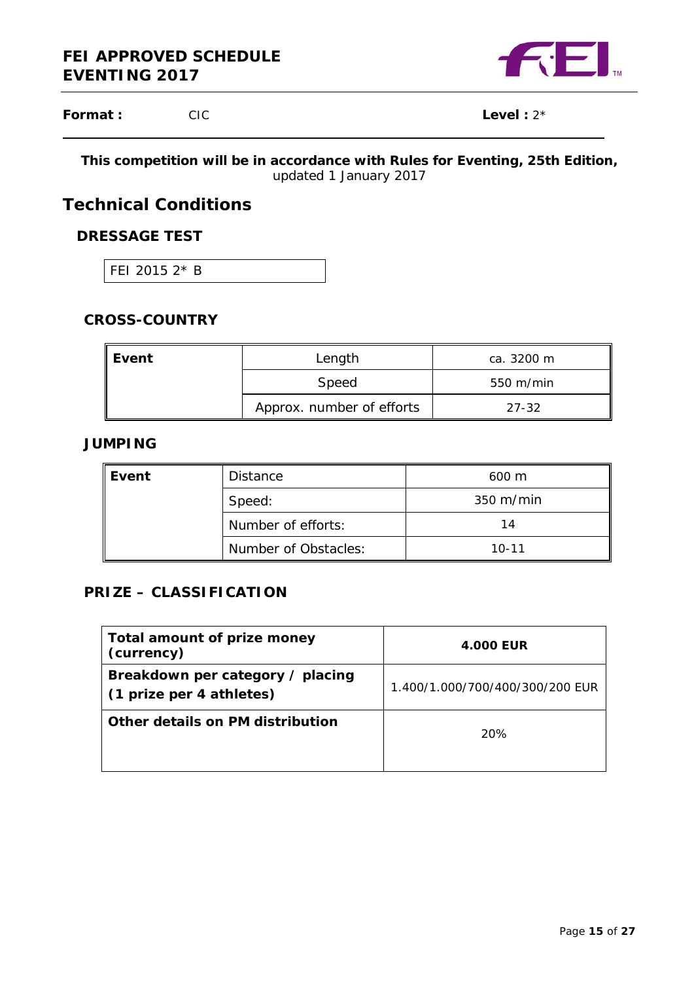

**Format :** CIC **Level** : 2\*

### **This competition will be in accordance with Rules for Eventing, 25th Edition,**  *updated 1 January 2017*

# **Technical Conditions**

# **DRESSAGE TEST**

FEI 2015 2\* B

# **CROSS-COUNTRY**

| Event | Length                    | ca. 3200 m              |
|-------|---------------------------|-------------------------|
|       | Speed                     | $550 \; \mathrm{m/min}$ |
|       | Approx. number of efforts | $27 - 32$               |

### **JUMPING**

| Event | <b>Distance</b>      | $600 \text{ m}$     |  |
|-------|----------------------|---------------------|--|
|       | Speed:               | $350 \text{ m/min}$ |  |
|       | Number of efforts:   | 14                  |  |
|       | Number of Obstacles: | $10 - 11$           |  |

### **PRIZE – CLASSIFICATION**

| Total amount of prize money<br>(currency)                    | <b>4.000 EUR</b>                |
|--------------------------------------------------------------|---------------------------------|
| Breakdown per category / placing<br>(1 prize per 4 athletes) | 1.400/1.000/700/400/300/200 EUR |
| Other details on PM distribution                             | 20%                             |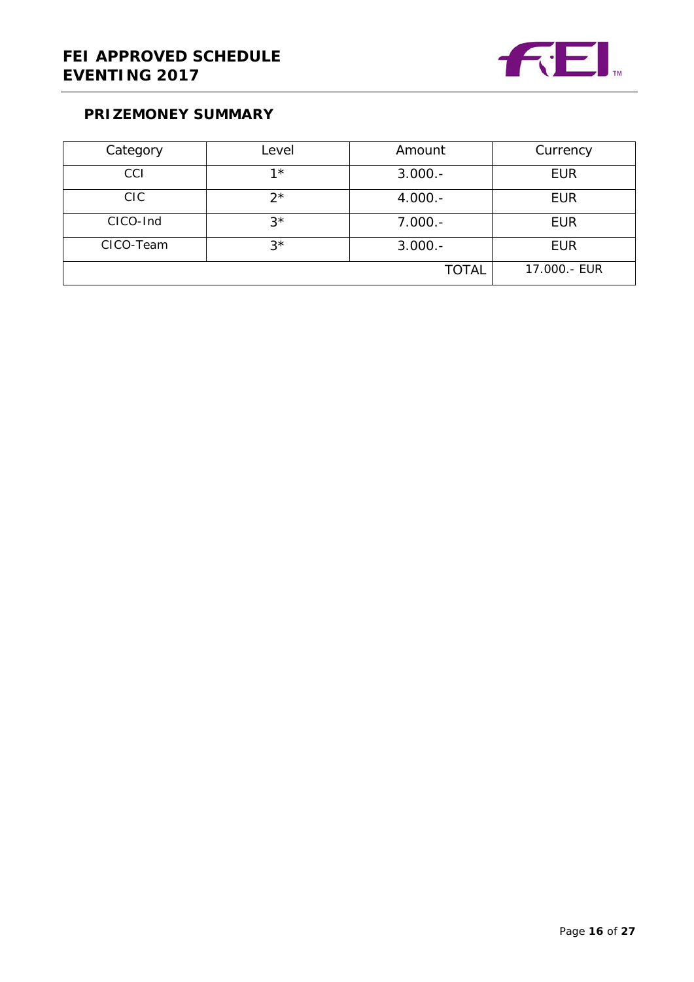

# **PRIZEMONEY SUMMARY**

| Category        | Level       | Amount       | Currency     |
|-----------------|-------------|--------------|--------------|
| CCI             | $1*$        | $3.000.-$    | <b>EUR</b>   |
| C <sub>IC</sub> | $2^{\star}$ | $4.000 -$    | <b>EUR</b>   |
| CICO-Ind        | $3^{\star}$ | $7.000.-$    | <b>EUR</b>   |
| CICO-Team       | $3^{\star}$ | $3.000.-$    | <b>EUR</b>   |
|                 |             | <b>TOTAL</b> | 17.000.- EUR |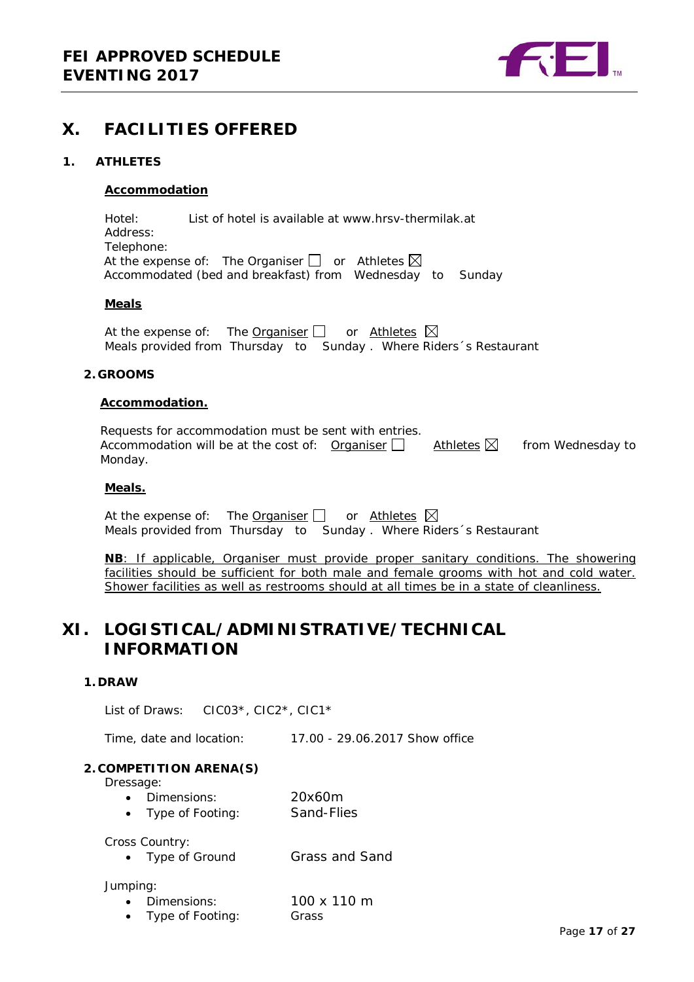

## <span id="page-16-0"></span>**X. FACILITIES OFFERED**

#### <span id="page-16-1"></span>**1. ATHLETES**

#### **Accommodation**

Hotel: List of hotel is available at www.hrsv-thermilak.at Address: Telephone: At the expense of: The Organiser  $\Box$  or Athletes  $\boxtimes$ Accommodated (bed and breakfast) from Wednesday to Sunday

#### **Meals**

At the expense of: The Organiser  $\Box$  or Athletes  $\boxtimes$ Meals provided from Thursday to Sunday . Where Riders´s Restaurant

#### <span id="page-16-2"></span>**2. GROOMS**

#### **Accommodation.**

Requests for accommodation must be sent with entries. Accommodation will be at the cost of: Organiser  $\Box$  Athletes  $\boxtimes$  from Wednesday to Monday.

#### **Meals.**

At the expense of: The Organiser  $\Box$  or Athletes  $\boxtimes$ Meals provided from Thursday to Sunday . Where Riders´s Restaurant

**NB**: If applicable, Organiser must provide proper sanitary conditions. The showering facilities should be sufficient for both male and female grooms with hot and cold water. Shower facilities as well as restrooms should at all times be in a state of cleanliness.

# <span id="page-16-3"></span>**XI. LOGISTICAL/ADMINISTRATIVE/TECHNICAL INFORMATION**

#### <span id="page-16-4"></span>**1. DRAW**

List of Draws: CIC03\*, CIC2\*, CIC1\*

Time, date and location: 17.00 - 29.06.2017 Show office

#### <span id="page-16-5"></span>**2. COMPETITION ARENA(S)**

Dressage:

- Dimensions: 20x60m
- Type of Footing: Sand-Flies

Cross Country:

• Type of Ground Grass and Sand

#### Jumping:

- Dimensions: 100 x 110 m • Type of Footing: Grass
	-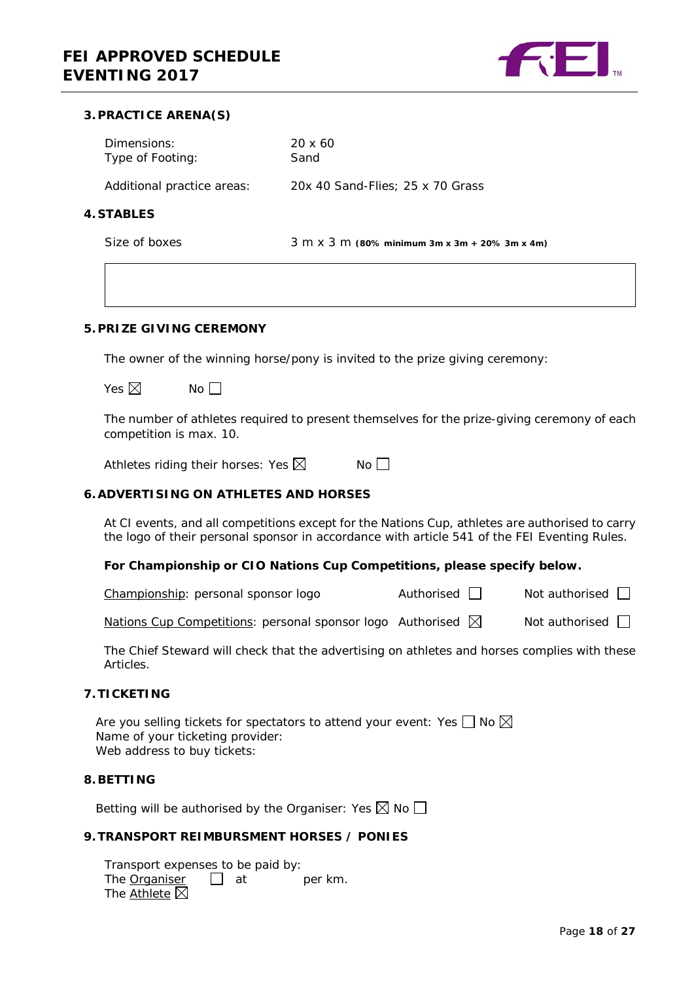

#### <span id="page-17-0"></span>**3.PRACTICE ARENA(S)**

<span id="page-17-1"></span>**4. STABLES**

| Dimensions:<br>Type of Footing: | $20 \times 60$<br>Sand                                               |
|---------------------------------|----------------------------------------------------------------------|
| Additional practice areas:      | 20x 40 Sand-Flies; 25 x 70 Grass                                     |
| <b>STABLES</b>                  |                                                                      |
| Size of boxes                   | $3 \text{ m} \times 3 \text{ m}$ (80% minimum 3m x 3m + 20% 3m x 4m) |

#### <span id="page-17-2"></span>**5.PRIZE GIVING CEREMONY**

The owner of the winning horse/pony is invited to the prize giving ceremony:

| Yes $\boxtimes$ | No |
|-----------------|----|
|-----------------|----|

The number of athletes required to present themselves for the prize-giving ceremony of each competition is max. 10.

Athletes riding their horses: Yes  $\boxtimes$  No  $\Box$ 

#### <span id="page-17-3"></span>**6.ADVERTISING ON ATHLETES AND HORSES**

At CI events, and all competitions except for the Nations Cup, athletes are authorised to carry the logo of their personal sponsor in accordance with article 541 of the FEI Eventing Rules.

#### **For Championship or CIO Nations Cup Competitions, please specify below.**

Championship: personal sponsor logo  $\Box$  Not authorised  $\Box$ 

Nations Cup Competitions: personal sponsor logo Authorised  $\boxtimes$  Not authorised  $\Box$ 

The Chief Steward will check that the advertising on athletes and horses complies with these Articles.

#### <span id="page-17-4"></span>**7.TICKETING**

Are you selling tickets for spectators to attend your event: Yes  $\Box$  No  $\boxtimes$ Name of your ticketing provider: Web address to buy tickets:

#### <span id="page-17-5"></span>**8.BETTING**

Betting will be authorised by the Organiser: Yes  $\boxtimes$  No  $\Box$ 

#### <span id="page-17-6"></span>**9.TRANSPORT REIMBURSMENT HORSES / PONIES**

Transport expenses to be paid by: The Organiser  $\Box$  at per km. The Athlete  $\boxtimes$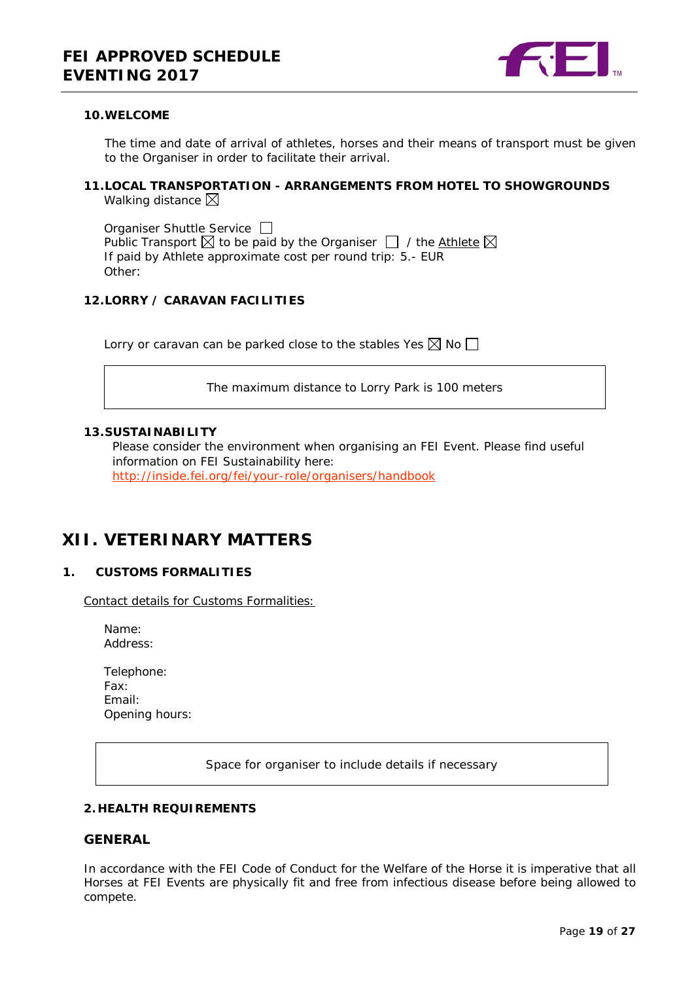

#### <span id="page-18-0"></span>**10.WELCOME**

Other:

The time and date of arrival of athletes, horses and their means of transport must be given to the Organiser in order to facilitate their arrival.

#### <span id="page-18-1"></span>**11.LOCAL TRANSPORTATION - ARRANGEMENTS FROM HOTEL TO SHOWGROUNDS** Walking distance  $\boxtimes$

Organiser Shuttle Service  $\Box$ Public Transport  $\boxtimes$  to be paid by the Organiser  $\Box$  / the Athlete  $\boxtimes$ If paid by Athlete approximate cost per round trip: 5.- EUR

<span id="page-18-2"></span>**12.LORRY / CARAVAN FACILITIES**

Lorry or caravan can be parked close to the stables Yes  $\boxtimes$  No  $\Box$ 

The maximum distance to Lorry Park is 100 meters

#### **13.SUSTAINABILITY**

Please consider the environment when organising an FEI Event. Please find useful information on FEI Sustainability here: <http://inside.fei.org/fei/your-role/organisers/handbook>

# <span id="page-18-3"></span>**XII. VETERINARY MATTERS**

#### <span id="page-18-4"></span>**1. CUSTOMS FORMALITIES**

Contact details for Customs Formalities:

- Name: Address:
- Telephone: Fax: Email: Opening hours:

Space for organiser to include details if necessary

#### <span id="page-18-5"></span>**2. HEALTH REQUIREMENTS**

#### **GENERAL**

In accordance with the FEI Code of Conduct for the Welfare of the Horse it is imperative that all Horses at FEI Events are physically fit and free from infectious disease before being allowed to compete.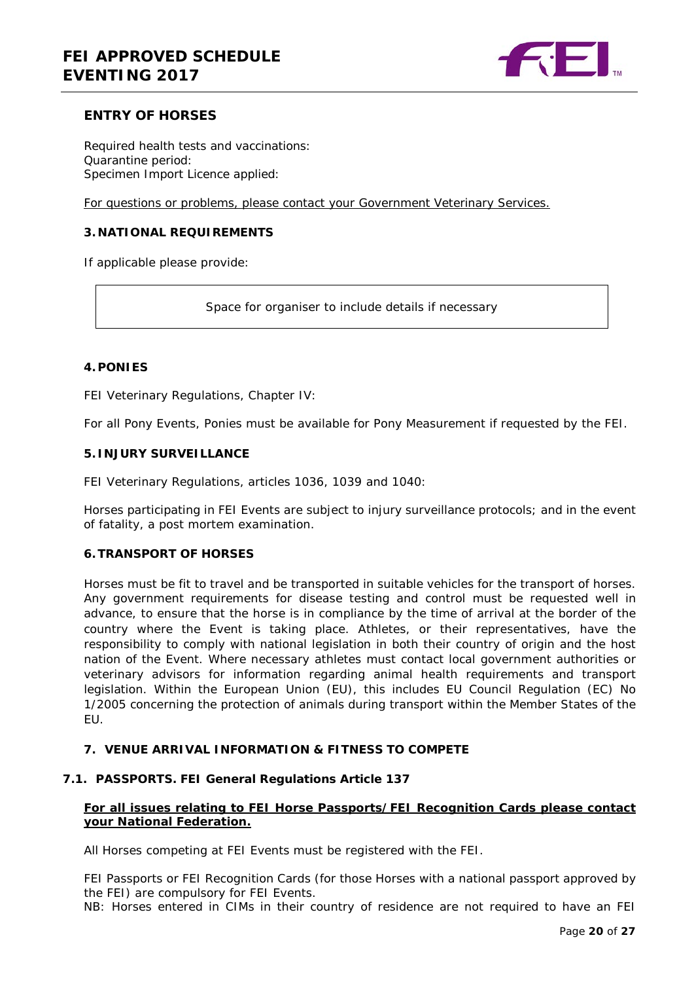

### **ENTRY OF HORSES**

Required health tests and vaccinations: Quarantine period: Specimen Import Licence applied:

For questions or problems, please contact your Government Veterinary Services.

#### <span id="page-19-0"></span>**3. NATIONAL REQUIREMENTS**

If applicable please provide:

Space for organiser to include details if necessary

#### <span id="page-19-1"></span>**4.PONIES**

FEI Veterinary Regulations, Chapter IV:

For all Pony Events, Ponies must be available for Pony Measurement if requested by the FEI.

#### <span id="page-19-2"></span>**5. INJURY SURVEILLANCE**

FEI Veterinary Regulations, articles 1036, 1039 and 1040:

Horses participating in FEI Events are subject to injury surveillance protocols; and in the event of fatality, a post mortem examination.

#### <span id="page-19-3"></span>**6.TRANSPORT OF HORSES**

Horses must be fit to travel and be transported in suitable vehicles for the transport of horses. Any government requirements for disease testing and control must be requested well in advance, to ensure that the horse is in compliance by the time of arrival at the border of the country where the Event is taking place. Athletes, or their representatives, have the responsibility to comply with national legislation in both their country of origin and the host nation of the Event. Where necessary athletes must contact local government authorities or veterinary advisors for information regarding animal health requirements and transport legislation. Within the European Union (EU), this includes EU Council Regulation (EC) No 1/2005 concerning the protection of animals during transport within the Member States of the EU.

#### <span id="page-19-4"></span>**7. VENUE ARRIVAL INFORMATION & FITNESS TO COMPETE**

#### <span id="page-19-5"></span>**7.1. PASSPORTS. FEI General Regulations Article 137**

#### **For all issues relating to FEI Horse Passports/FEI Recognition Cards please contact your National Federation.**

All Horses competing at FEI Events must be registered with the FEI.

FEI Passports or FEI Recognition Cards (for those Horses with a national passport approved by the FEI) are compulsory for FEI Events.

NB: Horses entered in CIMs in their country of residence are not required to have an FEI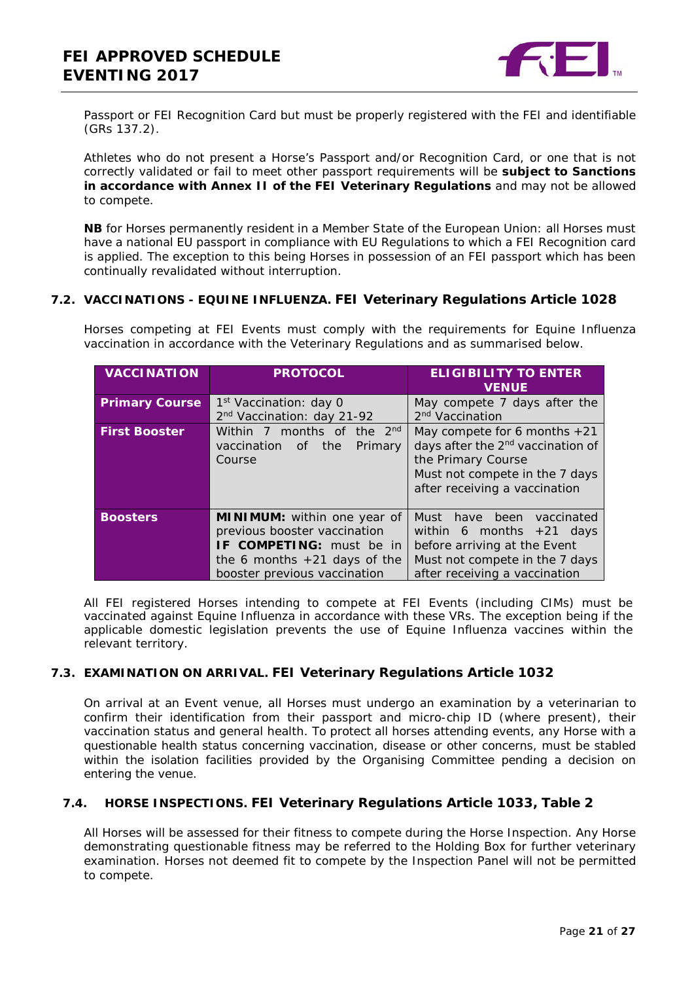

Passport or FEI Recognition Card but must be properly registered with the FEI and identifiable (GRs 137.2).

Athletes who do not present a Horse's Passport and/or Recognition Card, or one that is not correctly validated or fail to meet other passport requirements will be **subject to Sanctions in accordance with Annex II of the FEI Veterinary Regulations** and may not be allowed to compete.

**NB** for Horses permanently resident in a Member State of the European Union: all Horses must have a national EU passport in compliance with EU Regulations to which a FEI Recognition card is applied. The exception to this being Horses in possession of an FEI passport which has been continually revalidated without interruption.

#### <span id="page-20-0"></span>**7.2. VACCINATIONS - EQUINE INFLUENZA. FEI Veterinary Regulations Article 1028**

Horses competing at FEI Events must comply with the requirements for Equine Influenza vaccination in accordance with the Veterinary Regulations and as summarised below.

| <b>VACCINATION</b>    | <b>PROTOCOL</b>                                                                                                                                                  | <b>ELIGIBILITY TO ENTER</b><br><b>VENUE</b>                                                                                                                              |
|-----------------------|------------------------------------------------------------------------------------------------------------------------------------------------------------------|--------------------------------------------------------------------------------------------------------------------------------------------------------------------------|
| <b>Primary Course</b> | 1 <sup>st</sup> Vaccination: day 0<br>2 <sup>nd</sup> Vaccination: day 21-92                                                                                     | May compete 7 days after the<br>2 <sup>nd</sup> Vaccination                                                                                                              |
| <b>First Booster</b>  | Within 7 months of the 2 <sup>nd</sup><br>vaccination<br>the<br>Primary<br>of<br>Course                                                                          | May compete for 6 months $+21$<br>days after the 2 <sup>nd</sup> vaccination of<br>the Primary Course<br>Must not compete in the 7 days<br>after receiving a vaccination |
| <b>Boosters</b>       | <b>MINIMUM:</b> within one year of<br>previous booster vaccination<br>IF COMPETING: must be in<br>the 6 months $+21$ days of the<br>booster previous vaccination | Must have been<br>vaccinated<br>within 6 months $+21$ days<br>before arriving at the Event<br>Must not compete in the 7 days<br>after receiving a vaccination            |

All FEI registered Horses intending to compete at FEI Events (including CIMs) must be vaccinated against Equine Influenza in accordance with these VRs. The exception being if the applicable domestic legislation prevents the use of Equine Influenza vaccines within the relevant territory.

### <span id="page-20-1"></span>**7.3. EXAMINATION ON ARRIVAL. FEI Veterinary Regulations Article 1032**

On arrival at an Event venue, all Horses must undergo an examination by a veterinarian to confirm their identification from their passport and micro-chip ID (where present), their vaccination status and general health. To protect all horses attending events, any Horse with a questionable health status concerning vaccination, disease or other concerns, must be stabled within the isolation facilities provided by the Organising Committee pending a decision on entering the venue.

### <span id="page-20-2"></span>**7.4. HORSE INSPECTIONS. FEI Veterinary Regulations Article 1033, Table 2**

All Horses will be assessed for their fitness to compete during the Horse Inspection. Any Horse demonstrating questionable fitness may be referred to the Holding Box for further veterinary examination. Horses not deemed fit to compete by the Inspection Panel will not be permitted to compete.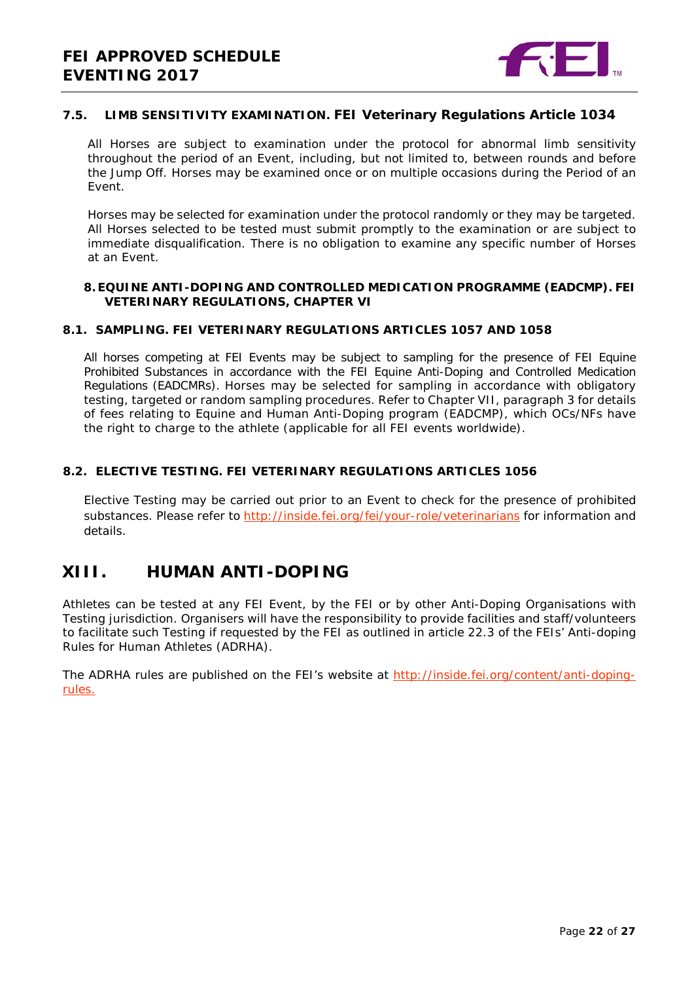

### <span id="page-21-0"></span>**7.5. LIMB SENSITIVITY EXAMINATION. FEI Veterinary Regulations Article 1034**

All Horses are subject to examination under the protocol for abnormal limb sensitivity throughout the period of an Event, including, but not limited to, between rounds and before the Jump Off. Horses may be examined once or on multiple occasions during the Period of an Event.

Horses may be selected for examination under the protocol randomly or they may be targeted. All Horses selected to be tested must submit promptly to the examination or are subject to immediate disqualification. There is no obligation to examine any specific number of Horses at an Event.

#### <span id="page-21-1"></span>**8.EQUINE ANTI-DOPING AND CONTROLLED MEDICATION PROGRAMME (EADCMP). FEI VETERINARY REGULATIONS, CHAPTER VI**

#### <span id="page-21-2"></span>**8.1. SAMPLING. FEI VETERINARY REGULATIONS ARTICLES 1057 AND 1058**

All horses competing at FEI Events may be subject to sampling for the presence of FEI Equine Prohibited Substances in accordance with the FEI Equine Anti-Doping and Controlled Medication Regulations (EADCMRs). Horses may be selected for sampling in accordance with obligatory testing, targeted or random sampling procedures. Refer to Chapter VII, paragraph 3 for details of fees relating to Equine and Human Anti-Doping program (EADCMP), which OCs/NFs have the right to charge to the athlete (applicable for all FEI events worldwide).

#### <span id="page-21-3"></span>**8.2. ELECTIVE TESTING. FEI VETERINARY REGULATIONS ARTICLES 1056**

Elective Testing may be carried out prior to an Event to check for the presence of prohibited substances. Please refer to<http://inside.fei.org/fei/your-role/veterinarians> for information and details.

### <span id="page-21-4"></span>**XIII. HUMAN ANTI-DOPING**

Athletes can be tested at any FEI Event, by the FEI or by other Anti-Doping Organisations with Testing jurisdiction. Organisers will have the responsibility to provide facilities and staff/volunteers to facilitate such Testing if requested by the FEI as outlined in article 22.3 of the FEIs' Anti-doping Rules for Human Athletes (ADRHA).

The ADRHA rules are published on the FEI's website at [http://inside.fei.org/content/anti-doping](http://inside.fei.org/content/anti-doping-rules)[rules.](http://inside.fei.org/content/anti-doping-rules)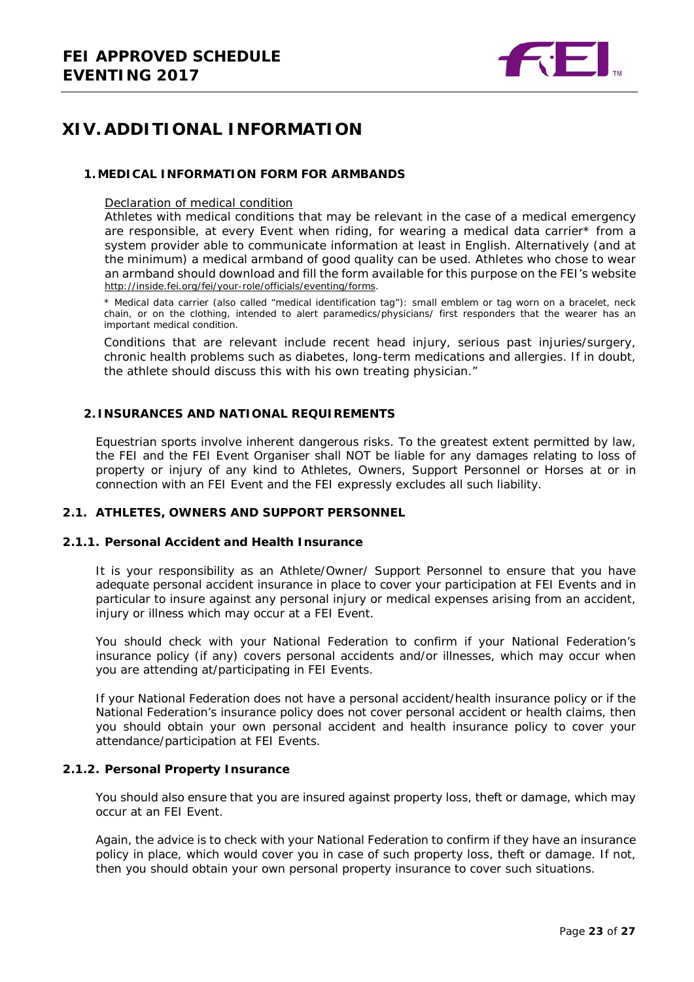

# <span id="page-22-0"></span>**XIV. ADDITIONAL INFORMATION**

#### <span id="page-22-1"></span>**1.MEDICAL INFORMATION FORM FOR ARMBANDS**

#### Declaration of medical condition

Athletes with medical conditions that may be relevant in the case of a medical emergency are responsible, at every Event when riding, for wearing a medical data carrier\* from a system provider able to communicate information at least in English. Alternatively (and at the minimum) a medical armband of good quality can be used. Athletes who chose to wear an armband should download and fill the form available for this purpose on the FEI's website [http://inside.fei.org/fei/your-role/officials/eventing/forms.](http://www.fei.org/fei/your-role/officials/eventing/forms)

*\* Medical data carrier (also called "medical identification tag"): small emblem or tag worn on a bracelet, neck chain, or on the clothing, intended to alert paramedics/physicians/ first responders that the wearer has an important medical condition.*

Conditions that are relevant include recent head injury, serious past injuries/surgery, chronic health problems such as diabetes, long-term medications and allergies. If in doubt, the athlete should discuss this with his own treating physician."

#### <span id="page-22-2"></span>**2. INSURANCES AND NATIONAL REQUIREMENTS**

Equestrian sports involve inherent dangerous risks. To the greatest extent permitted by law, the FEI and the FEI Event Organiser shall NOT be liable for any damages relating to loss of property or injury of any kind to Athletes, Owners, Support Personnel or Horses at or in connection with an FEI Event and the FEI expressly excludes all such liability.

#### <span id="page-22-3"></span>**2.1. ATHLETES, OWNERS AND SUPPORT PERSONNEL**

#### **2.1.1. Personal Accident and Health Insurance**

It is your responsibility as an Athlete/Owner/ Support Personnel to ensure that you have adequate personal accident insurance in place to cover your participation at FEI Events and in particular to insure against any personal injury or medical expenses arising from an accident, injury or illness which may occur at a FEI Event.

You should check with your National Federation to confirm if your National Federation's insurance policy (if any) covers personal accidents and/or illnesses, which may occur when you are attending at/participating in FEI Events.

If your National Federation does not have a personal accident/health insurance policy or if the National Federation's insurance policy does not cover personal accident or health claims, then you should obtain your own personal accident and health insurance policy to cover your attendance/participation at FEI Events.

#### **2.1.2. Personal Property Insurance**

You should also ensure that you are insured against property loss, theft or damage, which may occur at an FEI Event.

Again, the advice is to check with your National Federation to confirm if they have an insurance policy in place, which would cover you in case of such property loss, theft or damage. If not, then you should obtain your own personal property insurance to cover such situations.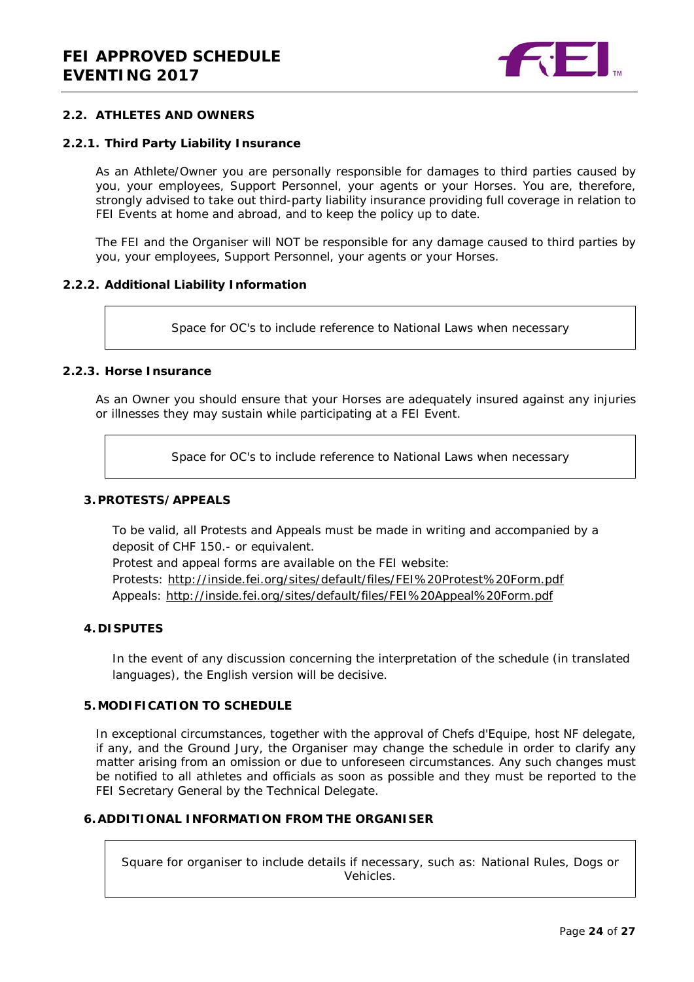

#### <span id="page-23-0"></span>**2.2. ATHLETES AND OWNERS**

#### **2.2.1. Third Party Liability Insurance**

As an Athlete/Owner you are personally responsible for damages to third parties caused by you, your employees, Support Personnel, your agents or your Horses. You are, therefore, strongly advised to take out third-party liability insurance providing full coverage in relation to FEI Events at home and abroad, and to keep the policy up to date.

The FEI and the Organiser will NOT be responsible for any damage caused to third parties by you, your employees, Support Personnel, your agents or your Horses.

#### **2.2.2. Additional Liability Information**

Space for OC's to include reference to National Laws when necessary

#### **2.2.3. Horse Insurance**

As an Owner you should ensure that your Horses are adequately insured against any injuries or illnesses they may sustain while participating at a FEI Event.

Space for OC's to include reference to National Laws when necessary

#### <span id="page-23-1"></span>**3.PROTESTS/APPEALS**

To be valid, all Protests and Appeals must be made in writing and accompanied by a deposit of CHF 150.- or equivalent.

Protest and appeal forms are available on the FEI website: Protests:<http://inside.fei.org/sites/default/files/FEI%20Protest%20Form.pdf> Appeals:<http://inside.fei.org/sites/default/files/FEI%20Appeal%20Form.pdf>

#### <span id="page-23-2"></span>**4. DISPUTES**

In the event of any discussion concerning the interpretation of the schedule (in translated languages), the English version will be decisive.

#### <span id="page-23-3"></span>**5.MODIFICATION TO SCHEDULE**

In exceptional circumstances, together with the approval of Chefs d'Equipe, host NF delegate, if any, and the Ground Jury, the Organiser may change the schedule in order to clarify any matter arising from an omission or due to unforeseen circumstances. Any such changes must be notified to all athletes and officials as soon as possible and they must be reported to the FEI Secretary General by the Technical Delegate.

#### <span id="page-23-4"></span>**6.ADDITIONAL INFORMATION FROM THE ORGANISER**

Square for organiser to include details if necessary, such as: National Rules, Dogs or Vehicles.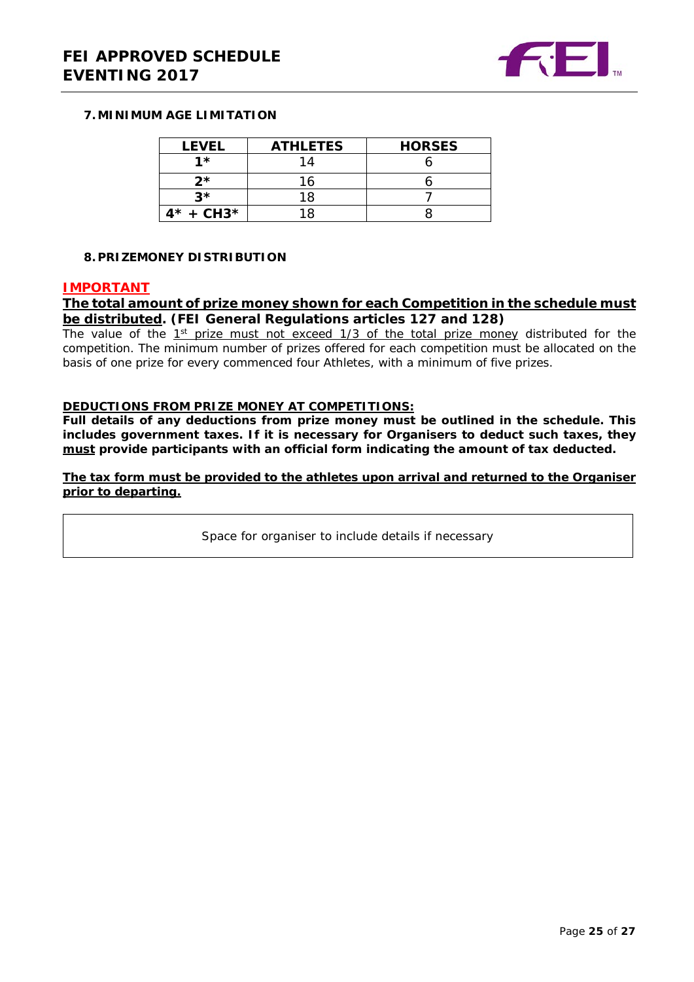

#### <span id="page-24-0"></span>**7.MINIMUM AGE LIMITATION**

| <b>LEVEL</b> | <b>ATHLETES</b> | <b>HORSES</b> |
|--------------|-----------------|---------------|
| <b>1*</b>    | 1 /             |               |
| ク*           | 16              |               |
| $2*$         | 18              |               |
| $4* + CH3*$  |                 |               |

#### <span id="page-24-1"></span>**8.PRIZEMONEY DISTRIBUTION**

#### **IMPORTANT**

### **The total amount of prize money shown for each Competition in the schedule must be distributed. (FEI General Regulations articles 127 and 128)**

The value of the  $1<sup>st</sup>$  prize must not exceed  $1/3$  of the total prize money distributed for the competition. The minimum number of prizes offered for each competition must be allocated on the basis of one prize for every commenced four Athletes, with a minimum of five prizes.

#### **DEDUCTIONS FROM PRIZE MONEY AT COMPETITIONS:**

**Full details of any deductions from prize money must be outlined in the schedule. This includes government taxes. If it is necessary for Organisers to deduct such taxes, they must provide participants with an official form indicating the amount of tax deducted.** 

#### **The tax form must be provided to the athletes upon arrival and returned to the Organiser prior to departing.**

Space for organiser to include details if necessary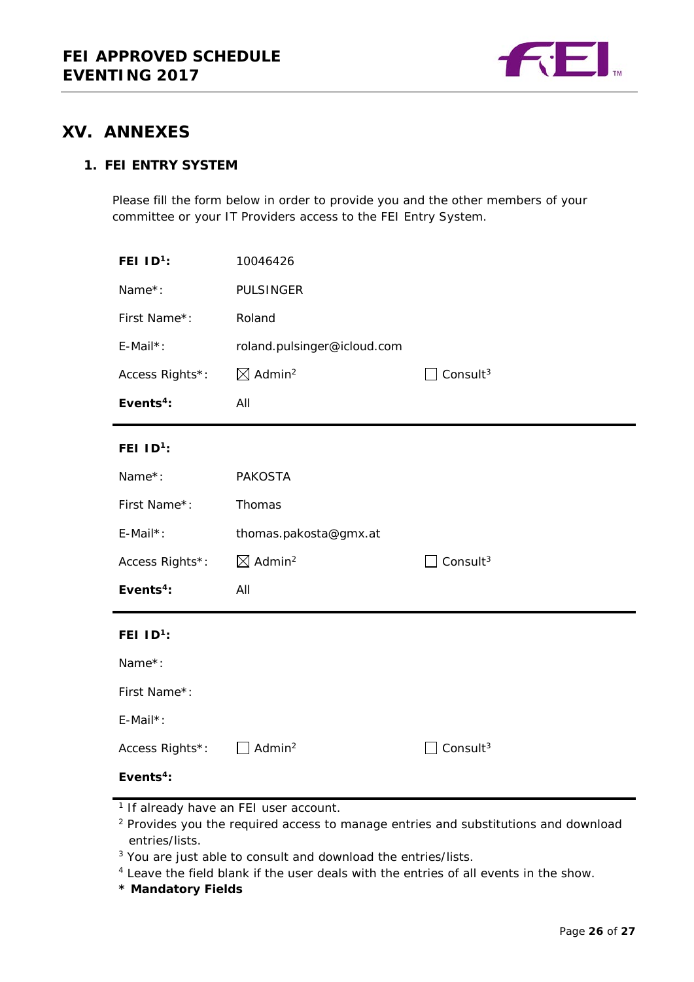

## <span id="page-25-0"></span>**XV. ANNEXES**

### **1. FEI ENTRY SYSTEM**

Please fill the form below in order to provide you and the other members of your committee or your IT Providers access to the FEI Entry System.

| FEI $ID^1$ :          | 10046426                       |                      |
|-----------------------|--------------------------------|----------------------|
| Name*:                | <b>PULSINGER</b>               |                      |
| First Name*:          | Roland                         |                      |
| E-Mail*:              | roland.pulsinger@icloud.com    |                      |
| Access Rights*:       | $\boxtimes$ Admin <sup>2</sup> | Consult $3$          |
| Events $4$ :          | All                            |                      |
| FEI $1D^1$ :          |                                |                      |
| Name*:                | <b>PAKOSTA</b>                 |                      |
| First Name*:          | Thomas                         |                      |
| E-Mail*:              | thomas.pakosta@gmx.at          |                      |
| Access Rights*:       | $\boxtimes$ Admin <sup>2</sup> | Consult <sup>3</sup> |
| Events <sup>4</sup> : | All                            |                      |
| FEI $ID^1$ :          |                                |                      |
| Name*:                |                                |                      |
| First Name*:          |                                |                      |
| E-Mail*:              |                                |                      |
| Access Rights*:       | Admin <sup>2</sup>             | Consult <sup>3</sup> |
| Events <sup>4</sup> : |                                |                      |

<sup>1</sup> If already have an FEI user account.

<sup>2</sup> Provides you the required access to manage entries and substitutions and download entries/lists.

<sup>3</sup> You are just able to consult and download the entries/lists.

<sup>4</sup> Leave the field blank if the user deals with the entries of all events in the show.

**\* Mandatory Fields**